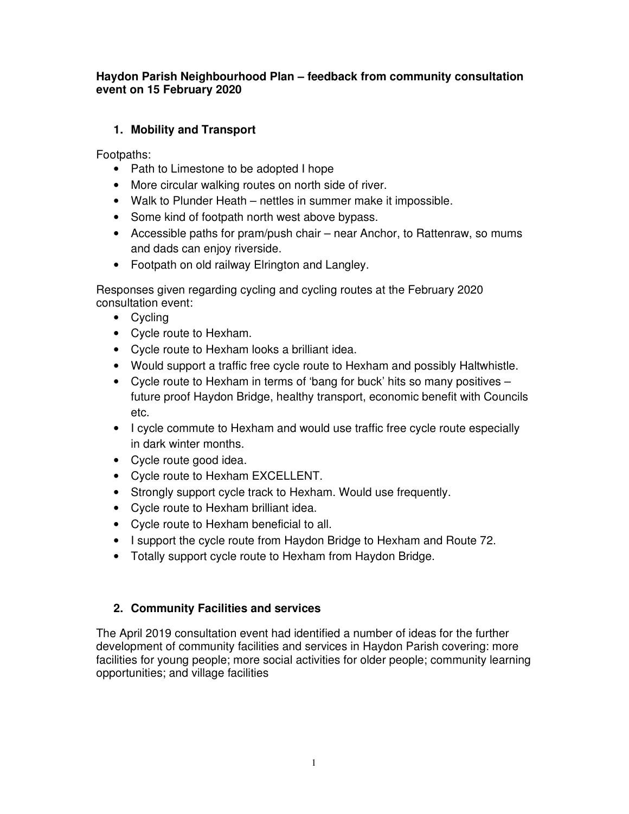## **Haydon Parish Neighbourhood Plan – feedback from community consultation event on 15 February 2020**

# **1. Mobility and Transport**

Footpaths:

- Path to Limestone to be adopted I hope
- More circular walking routes on north side of river.
- Walk to Plunder Heath nettles in summer make it impossible.
- Some kind of footpath north west above bypass.
- Accessible paths for pram/push chair near Anchor, to Rattenraw, so mums and dads can enjoy riverside.
- Footpath on old railway Elrington and Langley.

Responses given regarding cycling and cycling routes at the February 2020 consultation event:

- Cycling
- Cycle route to Hexham.
- Cycle route to Hexham looks a brilliant idea.
- Would support a traffic free cycle route to Hexham and possibly Haltwhistle.
- Cycle route to Hexham in terms of 'bang for buck' hits so many positives future proof Haydon Bridge, healthy transport, economic benefit with Councils etc.
- I cycle commute to Hexham and would use traffic free cycle route especially in dark winter months.
- Cycle route good idea.
- Cycle route to Hexham EXCELLENT.
- Strongly support cycle track to Hexham. Would use frequently.
- Cycle route to Hexham brilliant idea.
- Cycle route to Hexham beneficial to all.
- I support the cycle route from Haydon Bridge to Hexham and Route 72.
- Totally support cycle route to Hexham from Haydon Bridge.

## **2. Community Facilities and services**

The April 2019 consultation event had identified a number of ideas for the further development of community facilities and services in Haydon Parish covering: more facilities for young people; more social activities for older people; community learning opportunities; and village facilities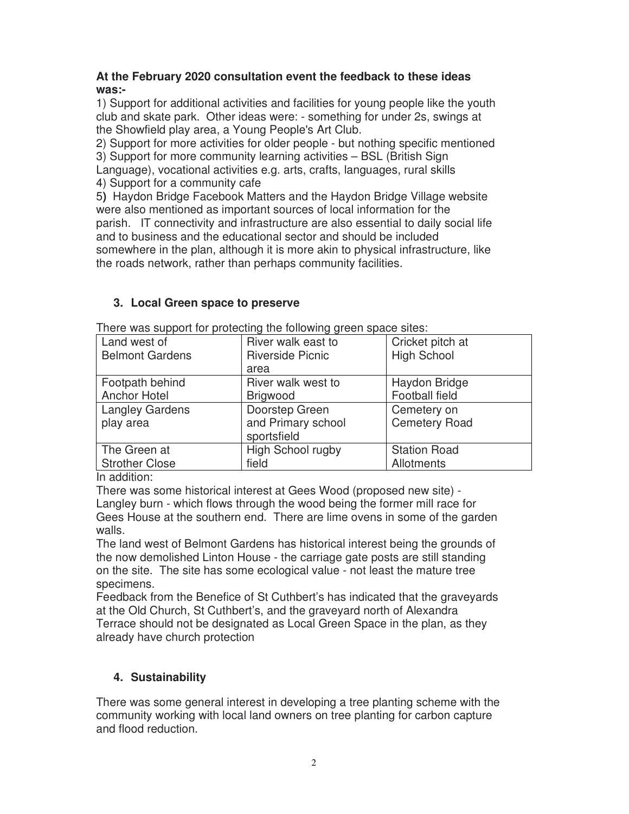#### **At the February 2020 consultation event the feedback to these ideas was:-**

1) Support for additional activities and facilities for young people like the youth club and skate park. Other ideas were: - something for under 2s, swings at the Showfield play area, a Young People's Art Club.

2) Support for more activities for older people - but nothing specific mentioned 3) Support for more community learning activities – BSL (British Sign Language), vocational activities e.g. arts, crafts, languages, rural skills 4) Support for a community cafe

5**)** Haydon Bridge Facebook Matters and the Haydon Bridge Village website were also mentioned as important sources of local information for the parish. IT connectivity and infrastructure are also essential to daily social life and to business and the educational sector and should be included somewhere in the plan, although it is more akin to physical infrastructure, like the roads network, rather than perhaps community facilities.

## **3. Local Green space to preserve**

| Land west of           | River walk east to              | Cricket pitch at     |
|------------------------|---------------------------------|----------------------|
| <b>Belmont Gardens</b> | <b>Riverside Picnic</b><br>area | <b>High School</b>   |
|                        |                                 |                      |
| Footpath behind        | River walk west to              | Haydon Bridge        |
| Anchor Hotel           | <b>Brigwood</b>                 | Football field       |
| <b>Langley Gardens</b> | Doorstep Green                  | Cemetery on          |
| play area              | and Primary school              | <b>Cemetery Road</b> |
|                        | sportsfield                     |                      |
| The Green at           | High School rugby               | <b>Station Road</b>  |
| <b>Strother Close</b>  | field                           | Allotments           |

There was support for protecting the following green space sites:

In addition:

There was some historical interest at Gees Wood (proposed new site) - Langley burn - which flows through the wood being the former mill race for Gees House at the southern end. There are lime ovens in some of the garden walls.

The land west of Belmont Gardens has historical interest being the grounds of the now demolished Linton House - the carriage gate posts are still standing on the site. The site has some ecological value - not least the mature tree specimens.

Feedback from the Benefice of St Cuthbert's has indicated that the graveyards at the Old Church, St Cuthbert's, and the graveyard north of Alexandra Terrace should not be designated as Local Green Space in the plan, as they already have church protection

## **4. Sustainability**

There was some general interest in developing a tree planting scheme with the community working with local land owners on tree planting for carbon capture and flood reduction.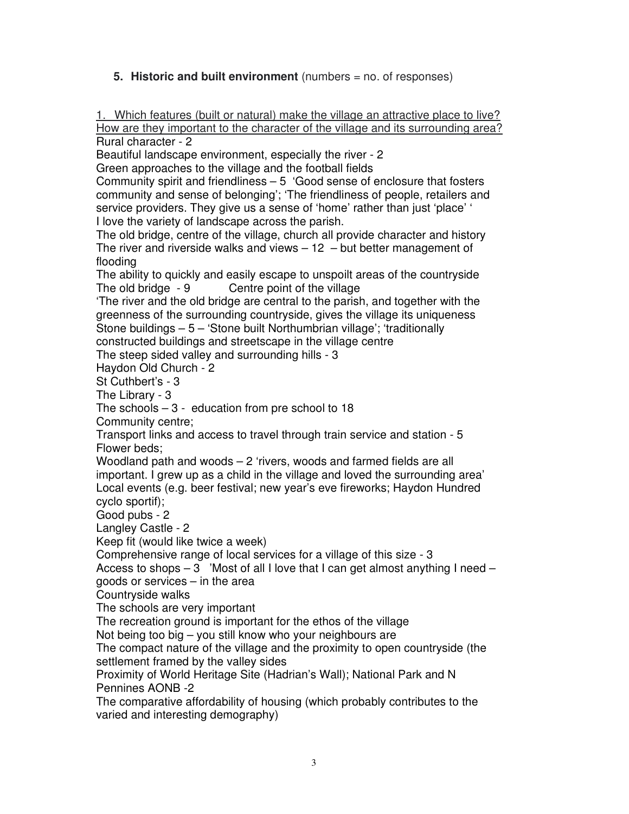## **5. Historic and built environment** (numbers = no. of responses)

1. Which features (built or natural) make the village an attractive place to live? How are they important to the character of the village and its surrounding area? Rural character - 2

Beautiful landscape environment, especially the river - 2

Green approaches to the village and the football fields

Community spirit and friendliness – 5 'Good sense of enclosure that fosters community and sense of belonging'; 'The friendliness of people, retailers and service providers. They give us a sense of 'home' rather than just 'place' ' I love the variety of landscape across the parish.

The old bridge, centre of the village, church all provide character and history The river and riverside walks and views  $-12$  – but better management of flooding

The ability to quickly and easily escape to unspoilt areas of the countryside The old bridge - 9 Centre point of the village

'The river and the old bridge are central to the parish, and together with the greenness of the surrounding countryside, gives the village its uniqueness Stone buildings – 5 – 'Stone built Northumbrian village'; 'traditionally

constructed buildings and streetscape in the village centre

The steep sided valley and surrounding hills - 3

Haydon Old Church - 2

St Cuthbert's - 3

The Library - 3

The schools  $-3$  - education from pre school to 18

Community centre;

Transport links and access to travel through train service and station - 5 Flower beds;

Woodland path and woods – 2 'rivers, woods and farmed fields are all important. I grew up as a child in the village and loved the surrounding area' Local events (e.g. beer festival; new year's eve fireworks; Haydon Hundred cyclo sportif);

Good pubs - 2

Langley Castle - 2

Keep fit (would like twice a week)

Comprehensive range of local services for a village of this size - 3

Access to shops  $-3$  'Most of all I love that I can get almost anything I need  $$ goods or services – in the area

Countryside walks

The schools are very important

The recreation ground is important for the ethos of the village

Not being too big – you still know who your neighbours are

The compact nature of the village and the proximity to open countryside (the settlement framed by the valley sides

Proximity of World Heritage Site (Hadrian's Wall); National Park and N Pennines AONB -2

The comparative affordability of housing (which probably contributes to the varied and interesting demography)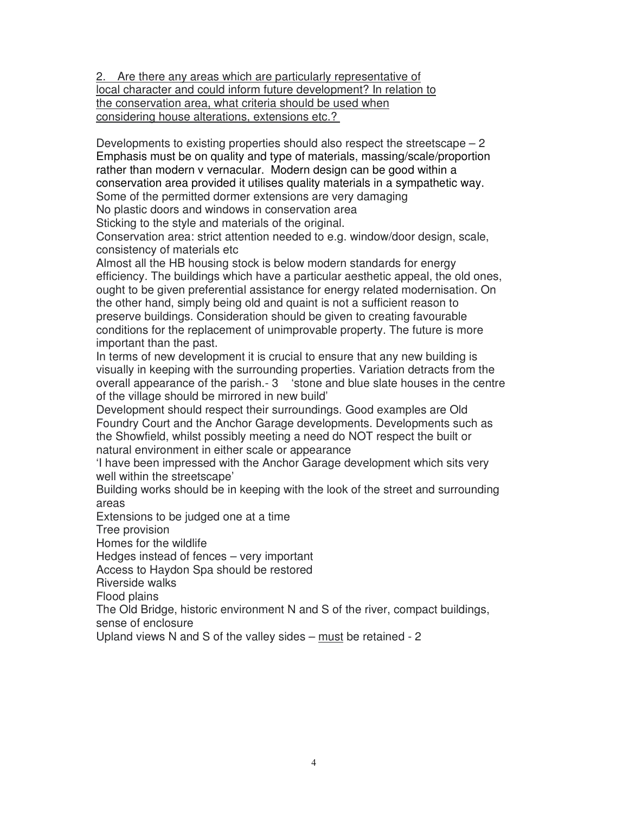2. Are there any areas which are particularly representative of local character and could inform future development? In relation to the conservation area, what criteria should be used when considering house alterations, extensions etc.?

Developments to existing properties should also respect the streetscape  $-2$ Emphasis must be on quality and type of materials, massing/scale/proportion rather than modern v vernacular. Modern design can be good within a conservation area provided it utilises quality materials in a sympathetic way. Some of the permitted dormer extensions are very damaging

No plastic doors and windows in conservation area Sticking to the style and materials of the original.

Conservation area: strict attention needed to e.g. window/door design, scale, consistency of materials etc

Almost all the HB housing stock is below modern standards for energy efficiency. The buildings which have a particular aesthetic appeal, the old ones, ought to be given preferential assistance for energy related modernisation. On the other hand, simply being old and quaint is not a sufficient reason to preserve buildings. Consideration should be given to creating favourable conditions for the replacement of unimprovable property. The future is more important than the past.

In terms of new development it is crucial to ensure that any new building is visually in keeping with the surrounding properties. Variation detracts from the overall appearance of the parish.- 3 'stone and blue slate houses in the centre of the village should be mirrored in new build'

Development should respect their surroundings. Good examples are Old Foundry Court and the Anchor Garage developments. Developments such as the Showfield, whilst possibly meeting a need do NOT respect the built or natural environment in either scale or appearance

'I have been impressed with the Anchor Garage development which sits very well within the streetscape'

Building works should be in keeping with the look of the street and surrounding areas

Extensions to be judged one at a time

Tree provision

Homes for the wildlife

Hedges instead of fences – very important

Access to Haydon Spa should be restored

Riverside walks

Flood plains

The Old Bridge, historic environment N and S of the river, compact buildings, sense of enclosure

Upland views N and S of the valley sides – must be retained - 2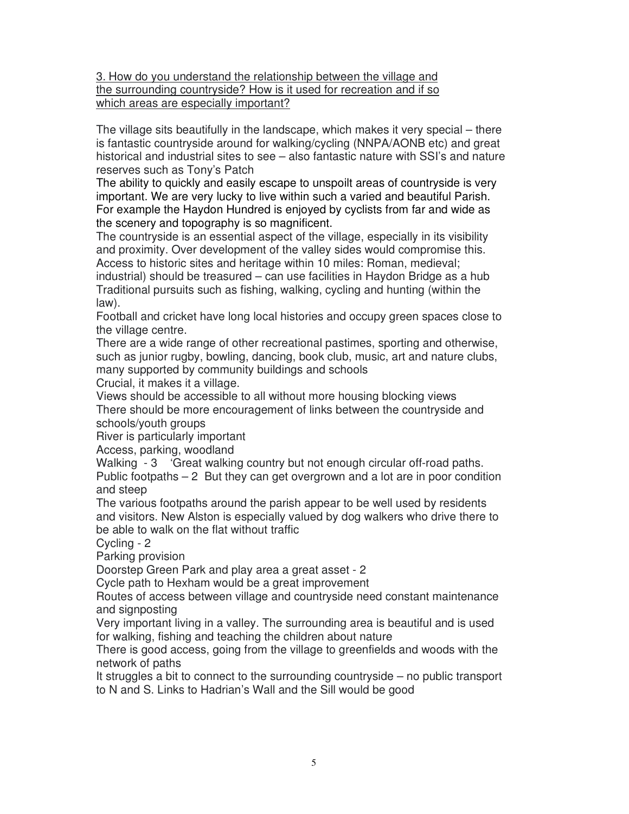#### 3. How do you understand the relationship between the village and the surrounding countryside? How is it used for recreation and if so which areas are especially important?

The village sits beautifully in the landscape, which makes it very special – there is fantastic countryside around for walking/cycling (NNPA/AONB etc) and great historical and industrial sites to see – also fantastic nature with SSI's and nature reserves such as Tony's Patch

The ability to quickly and easily escape to unspoilt areas of countryside is very important. We are very lucky to live within such a varied and beautiful Parish. For example the Haydon Hundred is enjoyed by cyclists from far and wide as the scenery and topography is so magnificent.

The countryside is an essential aspect of the village, especially in its visibility and proximity. Over development of the valley sides would compromise this. Access to historic sites and heritage within 10 miles: Roman, medieval;

industrial) should be treasured – can use facilities in Haydon Bridge as a hub Traditional pursuits such as fishing, walking, cycling and hunting (within the law).

Football and cricket have long local histories and occupy green spaces close to the village centre.

There are a wide range of other recreational pastimes, sporting and otherwise, such as junior rugby, bowling, dancing, book club, music, art and nature clubs, many supported by community buildings and schools

Crucial, it makes it a village.

Views should be accessible to all without more housing blocking views

There should be more encouragement of links between the countryside and schools/youth groups

River is particularly important

Access, parking, woodland

Walking - 3 'Great walking country but not enough circular off-road paths. Public footpaths  $-2$  But they can get overgrown and a lot are in poor condition and steep

The various footpaths around the parish appear to be well used by residents and visitors. New Alston is especially valued by dog walkers who drive there to be able to walk on the flat without traffic

Cycling - 2

Parking provision

Doorstep Green Park and play area a great asset - 2

Cycle path to Hexham would be a great improvement

Routes of access between village and countryside need constant maintenance and signposting

Very important living in a valley. The surrounding area is beautiful and is used for walking, fishing and teaching the children about nature

There is good access, going from the village to greenfields and woods with the network of paths

It struggles a bit to connect to the surrounding countryside – no public transport to N and S. Links to Hadrian's Wall and the Sill would be good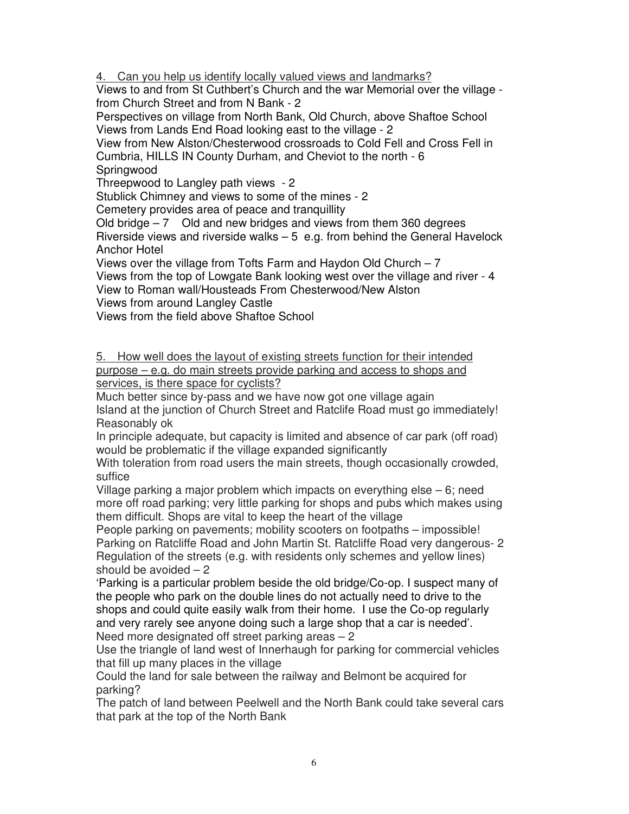4. Can you help us identify locally valued views and landmarks?

Views to and from St Cuthbert's Church and the war Memorial over the village from Church Street and from N Bank - 2

Perspectives on village from North Bank, Old Church, above Shaftoe School Views from Lands End Road looking east to the village - 2

View from New Alston/Chesterwood crossroads to Cold Fell and Cross Fell in Cumbria, HILLS IN County Durham, and Cheviot to the north - 6 Springwood

Threepwood to Langley path views - 2

Stublick Chimney and views to some of the mines - 2

Cemetery provides area of peace and tranquillity

Old bridge  $-7$  Old and new bridges and views from them 360 degrees Riverside views and riverside walks  $-5$  e.g. from behind the General Havelock Anchor Hotel

Views over the village from Tofts Farm and Haydon Old Church – 7

Views from the top of Lowgate Bank looking west over the village and river - 4 View to Roman wall/Housteads From Chesterwood/New Alston

Views from around Langley Castle

Views from the field above Shaftoe School

5. How well does the layout of existing streets function for their intended purpose – e.g. do main streets provide parking and access to shops and services, is there space for cyclists?

Much better since by-pass and we have now got one village again Island at the junction of Church Street and Ratclife Road must go immediately! Reasonably ok

In principle adequate, but capacity is limited and absence of car park (off road) would be problematic if the village expanded significantly

With toleration from road users the main streets, though occasionally crowded, suffice

Village parking a major problem which impacts on everything else – 6; need more off road parking; very little parking for shops and pubs which makes using them difficult. Shops are vital to keep the heart of the village

People parking on pavements; mobility scooters on footpaths – impossible! Parking on Ratcliffe Road and John Martin St. Ratcliffe Road very dangerous- 2 Regulation of the streets (e.g. with residents only schemes and yellow lines) should be avoided  $-2$ 

'Parking is a particular problem beside the old bridge/Co-op. I suspect many of the people who park on the double lines do not actually need to drive to the shops and could quite easily walk from their home. I use the Co-op regularly and very rarely see anyone doing such a large shop that a car is needed'. Need more designated off street parking areas – 2

Use the triangle of land west of Innerhaugh for parking for commercial vehicles that fill up many places in the village

Could the land for sale between the railway and Belmont be acquired for parking?

The patch of land between Peelwell and the North Bank could take several cars that park at the top of the North Bank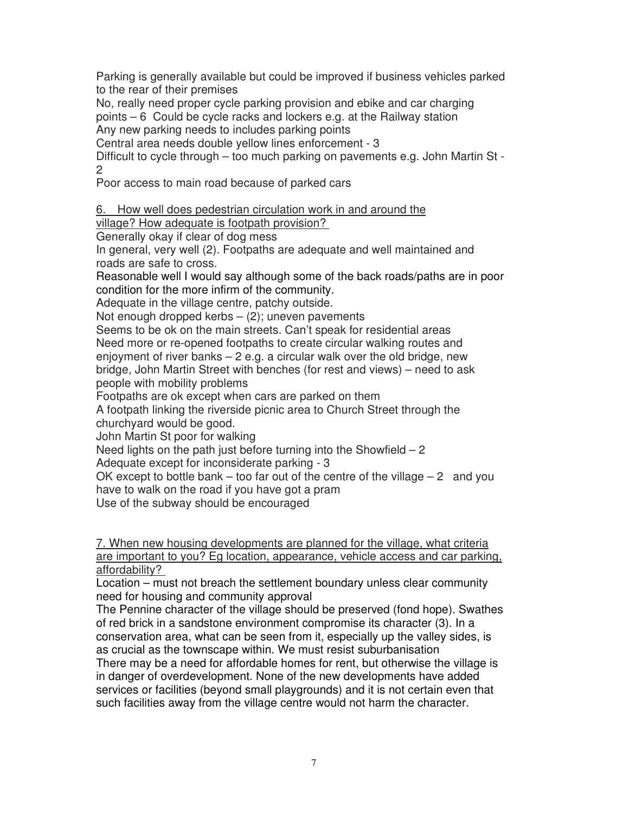Parking is generally available but could be improved if business vehicles parked to the rear of their premises

No, really need proper cycle parking provision and ebike and car charging points – 6 Could be cycle racks and lockers e.g. at the Railway station Any new parking needs to includes parking points

Central area needs double yellow lines enforcement - 3

Difficult to cycle through – too much parking on pavements e.g. John Martin St - 2

Poor access to main road because of parked cars

6. How well does pedestrian circulation work in and around the

village? How adequate is footpath provision?

Generally okay if clear of dog mess

In general, very well (2). Footpaths are adequate and well maintained and roads are safe to cross.

Reasonable well I would say although some of the back roads/paths are in poor condition for the more infirm of the community.

Adequate in the village centre, patchy outside.

Not enough dropped kerbs  $-$  (2); uneven pavements

Seems to be ok on the main streets. Can't speak for residential areas Need more or re-opened footpaths to create circular walking routes and enjoyment of river banks – 2 e.g. a circular walk over the old bridge, new bridge, John Martin Street with benches (for rest and views) – need to ask people with mobility problems

Footpaths are ok except when cars are parked on them

A footpath linking the riverside picnic area to Church Street through the churchyard would be good.

John Martin St poor for walking

Need lights on the path just before turning into the Showfield  $-2$ 

Adequate except for inconsiderate parking - 3

OK except to bottle bank – too far out of the centre of the village  $-2$  and you have to walk on the road if you have got a pram

Use of the subway should be encouraged

7. When new housing developments are planned for the village, what criteria are important to you? Eg location, appearance, vehicle access and car parking, affordability?

Location – must not breach the settlement boundary unless clear community need for housing and community approval

The Pennine character of the village should be preserved (fond hope). Swathes of red brick in a sandstone environment compromise its character (3). In a conservation area, what can be seen from it, especially up the valley sides, is as crucial as the townscape within. We must resist suburbanisation

There may be a need for affordable homes for rent, but otherwise the village is in danger of overdevelopment. None of the new developments have added services or facilities (beyond small playgrounds) and it is not certain even that such facilities away from the village centre would not harm the character.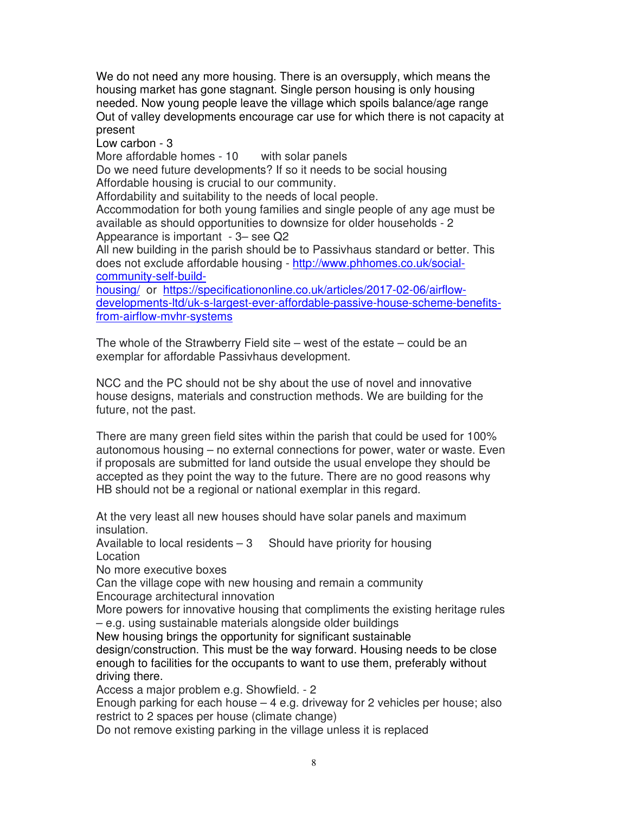We do not need any more housing. There is an oversupply, which means the housing market has gone stagnant. Single person housing is only housing needed. Now young people leave the village which spoils balance/age range Out of valley developments encourage car use for which there is not capacity at present

Low carbon - 3

More affordable homes - 10 with solar panels

Do we need future developments? If so it needs to be social housing Affordable housing is crucial to our community.

Affordability and suitability to the needs of local people.

Accommodation for both young families and single people of any age must be available as should opportunities to downsize for older households - 2 Appearance is important - 3– see Q2

All new building in the parish should be to Passivhaus standard or better. This does not exclude affordable housing - http://www.phhomes.co.uk/socialcommunity-self-build-

housing/ or https://specificationonline.co.uk/articles/2017-02-06/airflowdevelopments-ltd/uk-s-largest-ever-affordable-passive-house-scheme-benefitsfrom-airflow-mvhr-systems

The whole of the Strawberry Field site – west of the estate – could be an exemplar for affordable Passivhaus development.

NCC and the PC should not be shy about the use of novel and innovative house designs, materials and construction methods. We are building for the future, not the past.

There are many green field sites within the parish that could be used for 100% autonomous housing – no external connections for power, water or waste. Even if proposals are submitted for land outside the usual envelope they should be accepted as they point the way to the future. There are no good reasons why HB should not be a regional or national exemplar in this regard.

At the very least all new houses should have solar panels and maximum insulation.

Available to local residents  $-3$  Should have priority for housing Location

No more executive boxes

Can the village cope with new housing and remain a community

Encourage architectural innovation

More powers for innovative housing that compliments the existing heritage rules – e.g. using sustainable materials alongside older buildings

New housing brings the opportunity for significant sustainable

design/construction. This must be the way forward. Housing needs to be close enough to facilities for the occupants to want to use them, preferably without driving there.

Access a major problem e.g. Showfield. - 2

Enough parking for each house  $-4$  e.g. driveway for 2 vehicles per house; also restrict to 2 spaces per house (climate change)

Do not remove existing parking in the village unless it is replaced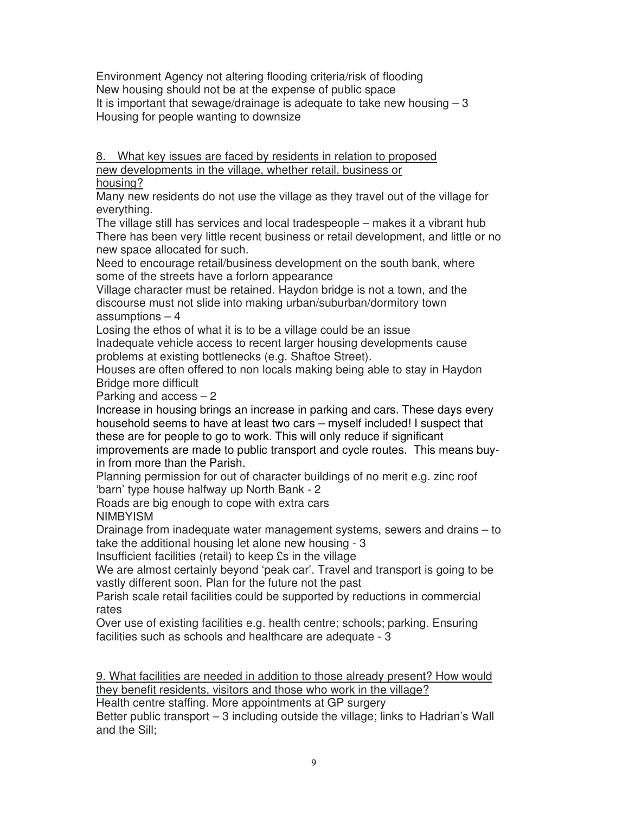Environment Agency not altering flooding criteria/risk of flooding New housing should not be at the expense of public space It is important that sewage/drainage is adequate to take new housing  $-3$ Housing for people wanting to downsize

8. What key issues are faced by residents in relation to proposed new developments in the village, whether retail, business or

housing?

Many new residents do not use the village as they travel out of the village for everything.

The village still has services and local tradespeople – makes it a vibrant hub There has been very little recent business or retail development, and little or no new space allocated for such.

Need to encourage retail/business development on the south bank, where some of the streets have a forlorn appearance

Village character must be retained. Haydon bridge is not a town, and the discourse must not slide into making urban/suburban/dormitory town assumptions – 4

Losing the ethos of what it is to be a village could be an issue Inadequate vehicle access to recent larger housing developments cause problems at existing bottlenecks (e.g. Shaftoe Street).

Houses are often offered to non locals making being able to stay in Haydon Bridge more difficult

Parking and access – 2

Increase in housing brings an increase in parking and cars. These days every household seems to have at least two cars – myself included! I suspect that these are for people to go to work. This will only reduce if significant

improvements are made to public transport and cycle routes. This means buyin from more than the Parish.

Planning permission for out of character buildings of no merit e.g. zinc roof 'barn' type house halfway up North Bank - 2

Roads are big enough to cope with extra cars

NIMBYISM

Drainage from inadequate water management systems, sewers and drains – to take the additional housing let alone new housing - 3

Insufficient facilities (retail) to keep £s in the village

We are almost certainly beyond 'peak car'. Travel and transport is going to be vastly different soon. Plan for the future not the past

Parish scale retail facilities could be supported by reductions in commercial rates

Over use of existing facilities e.g. health centre; schools; parking. Ensuring facilities such as schools and healthcare are adequate - 3

9. What facilities are needed in addition to those already present? How would they benefit residents, visitors and those who work in the village?

Health centre staffing. More appointments at GP surgery

Better public transport – 3 including outside the village; links to Hadrian's Wall and the Sill;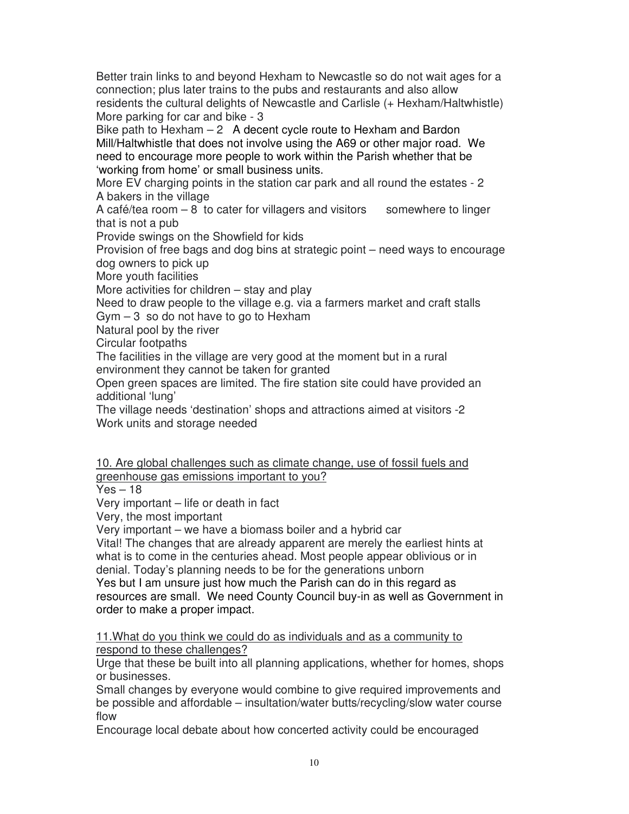Better train links to and beyond Hexham to Newcastle so do not wait ages for a connection; plus later trains to the pubs and restaurants and also allow residents the cultural delights of Newcastle and Carlisle (+ Hexham/Haltwhistle) More parking for car and bike - 3

Bike path to Hexham  $-2$  A decent cycle route to Hexham and Bardon Mill/Haltwhistle that does not involve using the A69 or other major road. We need to encourage more people to work within the Parish whether that be 'working from home' or small business units.

More EV charging points in the station car park and all round the estates - 2 A bakers in the village

A café/tea room  $-8$  to cater for villagers and visitors somewhere to linger that is not a pub

Provide swings on the Showfield for kids

Provision of free bags and dog bins at strategic point – need ways to encourage dog owners to pick up

More youth facilities

More activities for children – stay and play

Need to draw people to the village e.g. via a farmers market and craft stalls Gym  $-3$  so do not have to go to Hexham

Natural pool by the river

Circular footpaths

The facilities in the village are very good at the moment but in a rural environment they cannot be taken for granted

Open green spaces are limited. The fire station site could have provided an additional 'lung'

The village needs 'destination' shops and attractions aimed at visitors -2 Work units and storage needed

10. Are global challenges such as climate change, use of fossil fuels and greenhouse gas emissions important to you?

 $Yes - 18$ 

Very important – life or death in fact

Very, the most important

Very important – we have a biomass boiler and a hybrid car

Vital! The changes that are already apparent are merely the earliest hints at what is to come in the centuries ahead. Most people appear oblivious or in denial. Today's planning needs to be for the generations unborn

Yes but I am unsure just how much the Parish can do in this regard as resources are small. We need County Council buy-in as well as Government in order to make a proper impact.

11.What do you think we could do as individuals and as a community to respond to these challenges?

Urge that these be built into all planning applications, whether for homes, shops or businesses.

Small changes by everyone would combine to give required improvements and be possible and affordable – insultation/water butts/recycling/slow water course flow

Encourage local debate about how concerted activity could be encouraged